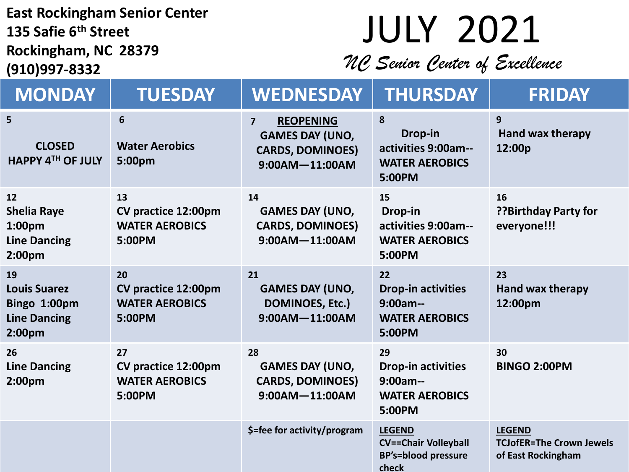#### **East Rockingham Senior Center 135 Safie 6th Street Rockingham, NC 28379 (910)997-8332**

# JULY 2021

*NC Senior Center of Excellence*

| <b>MONDAY</b>                                                                               | <b>TUESDAY</b>                                               | <b>WEDNESDAY</b>                                                                                              | THURSDAY                                                                            | <b>FRIDAY</b>                                                          |
|---------------------------------------------------------------------------------------------|--------------------------------------------------------------|---------------------------------------------------------------------------------------------------------------|-------------------------------------------------------------------------------------|------------------------------------------------------------------------|
| 5<br><b>CLOSED</b><br>HAPPY 4TH OF JULY                                                     | 6<br><b>Water Aerobics</b><br>5:00pm                         | <b>REOPENING</b><br>$\overline{7}$<br><b>GAMES DAY (UNO,</b><br><b>CARDS, DOMINOES)</b><br>$9:00AM - 11:00AM$ | 8<br>Drop-in<br>activities 9:00am--<br><b>WATER AEROBICS</b><br>5:00PM              | 9<br><b>Hand wax therapy</b><br>12:00p                                 |
| 12<br><b>Shelia Raye</b><br>1:00 <sub>pm</sub><br><b>Line Dancing</b><br>2:00 <sub>pm</sub> | 13<br>CV practice 12:00pm<br><b>WATER AEROBICS</b><br>5:00PM | 14<br><b>GAMES DAY (UNO,</b><br><b>CARDS, DOMINOES)</b><br>$9:00AM - 11:00AM$                                 | 15<br>Drop-in<br>activities 9:00am--<br><b>WATER AEROBICS</b><br>5:00PM             | 16<br>??Birthday Party for<br>everyone!!!                              |
| 19<br><b>Louis Suarez</b><br>Bingo 1:00pm<br><b>Line Dancing</b><br>2:00pm                  | 20<br>CV practice 12:00pm<br><b>WATER AEROBICS</b><br>5:00PM | 21<br><b>GAMES DAY (UNO,</b><br><b>DOMINOES, Etc.)</b><br>$9:00AM - 11:00AM$                                  | 22<br><b>Drop-in activities</b><br>$9:00am--$<br><b>WATER AEROBICS</b><br>5:00PM    | 23<br><b>Hand wax therapy</b><br>12:00pm                               |
| 26<br><b>Line Dancing</b><br>2:00 <sub>pm</sub>                                             | 27<br>CV practice 12:00pm<br><b>WATER AEROBICS</b><br>5:00PM | 28<br><b>GAMES DAY (UNO,</b><br><b>CARDS, DOMINOES)</b><br>$9:00AM - 11:00AM$                                 | 29<br><b>Drop-in activities</b><br>$9:00am-$<br><b>WATER AEROBICS</b><br>5:00PM     | 30<br><b>BINGO 2:00PM</b>                                              |
|                                                                                             |                                                              | \$=fee for activity/program                                                                                   | <b>LEGEND</b><br><b>CV==Chair Volleyball</b><br><b>BP's=blood pressure</b><br>check | <b>LEGEND</b><br><b>TCJofER=The Crown Jewels</b><br>of East Rockingham |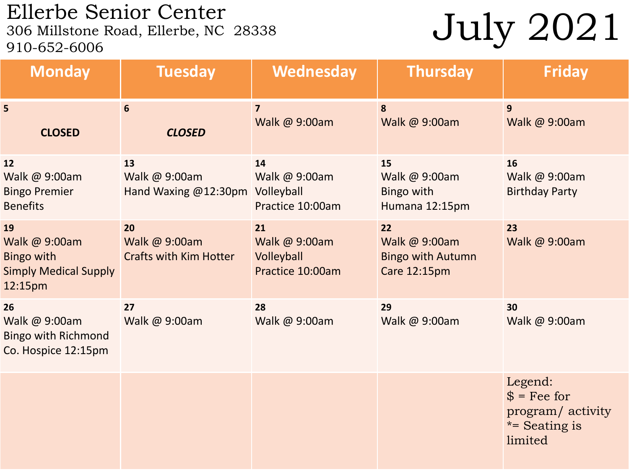## Ellerbe Senior Center<br>306 Millstone Road, Ellerbe, NC 28338 910-652-6006

## July 2021

| <b>Monday</b>                                                                       | <b>Tuesday</b>                                       | Wednesday                                             | <b>Thursday</b>                                                 | <b>Friday</b>                                                                  |
|-------------------------------------------------------------------------------------|------------------------------------------------------|-------------------------------------------------------|-----------------------------------------------------------------|--------------------------------------------------------------------------------|
| 5<br><b>CLOSED</b>                                                                  | $6\phantom{1}$<br><b>CLOSED</b>                      | $\overline{7}$<br>Walk @ 9:00am                       | 8<br>Walk @ 9:00am                                              | 9<br>Walk @ 9:00am                                                             |
| 12<br>Walk @ 9:00am<br><b>Bingo Premier</b><br><b>Benefits</b>                      | 13<br>Walk @ 9:00am<br>Hand Waxing @12:30pm          | 14<br>Walk @ 9:00am<br>Volleyball<br>Practice 10:00am | 15<br>Walk @ 9:00am<br><b>Bingo with</b><br>Humana 12:15pm      | 16<br>Walk @ 9:00am<br><b>Birthday Party</b>                                   |
| 19<br>Walk @ 9:00am<br><b>Bingo with</b><br><b>Simply Medical Supply</b><br>12:15pm | 20<br>Walk @ 9:00am<br><b>Crafts with Kim Hotter</b> | 21<br>Walk @ 9:00am<br>Volleyball<br>Practice 10:00am | 22<br>Walk @ 9:00am<br><b>Bingo with Autumn</b><br>Care 12:15pm | 23<br>Walk @ 9:00am                                                            |
| 26<br>Walk @ 9:00am<br><b>Bingo with Richmond</b><br>Co. Hospice 12:15pm            | 27<br>Walk @ 9:00am                                  | 28<br>Walk @ 9:00am                                   | 29<br>Walk @ 9:00am                                             | 30<br>Walk @ 9:00am                                                            |
|                                                                                     |                                                      |                                                       |                                                                 | Legend:<br>$$ = \text{Fe}$ for<br>program/activity<br>*= Seating is<br>limited |